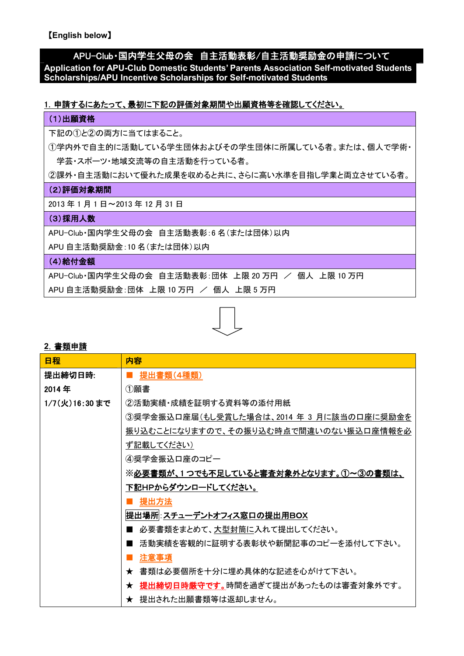【**English below**】

# APU-Club・国内学生父母の会 自主活動表彰/自主活動奨励金の申請について

**Application for APU-Club Domestic Students' Parents Association Self-motivated Students Scholarships/APU Incentive Scholarships for Self-motivated Students**

### 1.申請するにあたって、最初に下記の評価対象期間や出願資格等を確認してください。

#### (1)出願資格

下記の①と②の両方に当てはまること。

①学内外で自主的に活動している学生団体およびその学生団体に所属している者。または、個人で学術・ 学芸・スポーツ・地域交流等の自主活動を行っている者。

②課外・自主活動において優れた成果を収めると共に、さらに高い水準を目指し学業と両立させている者。

#### (2)評価対象期間

2013 年 1 月 1 日~2013 年 12 月 31 日

### (3) 採用人数

APU-Club・国内学生父母の会 自主活動表彰:6 名(または団体)以内

APU 自主活動奨励金:10 名(または団体)以内

### (4)給付金額

APU-Club·国内学生父母の会 自主活動表彰:団体 上限 20 万円 / 個人 上限 10 万円

APU 自主活動奨励金:団体 上限 10 万円 / 個人 上限 5 万円



### **2**.書類申請

| 日程            | 内容                                        |  |
|---------------|-------------------------------------------|--|
| 提出締切日時:       | 提出書類(4種類)                                 |  |
| 2014年         | ①願書                                       |  |
| 1/7(火)16:30まで | ②活動実績・成績を証明する資料等の添付用紙                     |  |
|               | ③奨学金振込口座届(もし受賞した場合は、2014 年 3 月に該当の口座に奨励金を |  |
|               | 振り込むことになりますので、その振り込む時点で間違いのない振込口座情報を必     |  |
|               | ず記載してください)                                |  |
|               | 4)奨学金振込口座のコピー                             |  |
|               | ※必要書類が、1つでも不足していると審査対象外となります。①~③の書類は、     |  |
|               | 下記HPからダウンロードしてください。                       |  |
|               | <u>提出方法</u>                               |  |
|               | 提出場所 : <u>スチューデントオフィス窓口の提出用BOX</u>        |  |
|               | 必要書類をまとめて、大型封筒に入れて提出してください。               |  |
|               | 活動実績を客観的に証明する表彰状や新聞記事のコピーを添付して下さい。        |  |
|               | 注意事項                                      |  |
|               | ★ 書類は必要個所を十分に埋め具体的な記述を心がけて下さい。            |  |
|               | ★ 提出締切日時厳守です。時間を過ぎて提出があったものは審査対象外です。      |  |
|               | ★ 提出された出願書類等は返却しません。                      |  |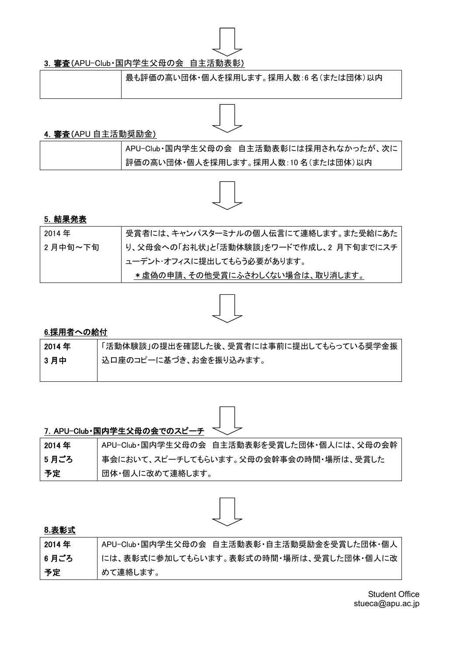

# 3. 審査(APU-Club·国内学生父母の会 自主活動表彰)

最も評価の高い団体・個人を採用します。採用人数:6 名(または団体)以内

# 4. 審査(APU 自主活動奨励金)

| APU-Club·国内学生父母の会 自主活動表彰には採用されなかったが、次に |
|----------------------------------------|
| 評価の高い団体・個人を採用します。採用人数:10名(または団体)以内     |



# 5.結果発表

| 2014年   | 受賞者には、キャンパスターミナルの個人伝言にて連絡します。また受給にあた    |
|---------|-----------------------------------------|
| 2月中旬~下旬 | り、父母会への「お礼状」と「活動体験談」をワードで作成し、2 月下旬までにスチ |
|         | 'ューデント・オフィスに提出してもらう必要があります。             |
|         | *虚偽の申請、その他受賞にふさわしくない場合は、取り消します。         |



# 6.採用者への給付

| 2014 年 | 「活動体験談」の提出を確認した後、受賞者には事前に提出してもらっている奨学金振 |
|--------|-----------------------------------------|
| 3月中    | ' 込口座のコピーに基づき、お金を振り込みます。                |
|        |                                         |



|        | 7. APU-Club·国内学生父母の会でのスピーチ <               |
|--------|--------------------------------------------|
| 2014 年 | APU-Club·国内学生父母の会 自主活動表彰を受賞した団体·個人には、父母の会幹 |
| 5月ごろ   | 事会において、スピーチしてもらいます。父母の会幹事会の時間・場所は、受賞した     |
| 予定     | 団体・個人に改めて連絡します。                            |



### **8.**表彰式

| 2014 年 | APU-Club·国内学生父母の会 自主活動表彰·自主活動奨励金を受賞した団体·個人 |
|--------|--------------------------------------------|
| 6 月ごろ  | には、表彰式に参加してもらいます。表彰式の時間・場所は、受賞した団体・個人に改    |
| 予定     | めて連絡します。                                   |

Student Office stueca@apu.ac.jp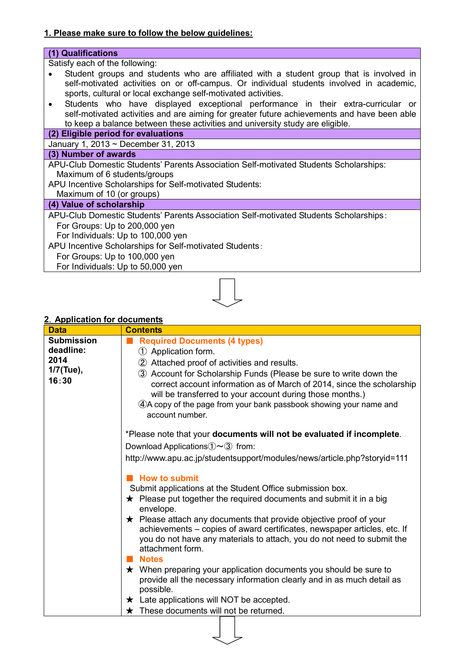# **1. Please make sure to follow the below guidelines:**

# **(1) Qualifications**

Satisfy each of the following:

- Student groups and students who are affiliated with a student group that is involved in  $\bullet$ self-motivated activities on or off-campus. Or individual students involved in academic, sports, cultural or local exchange self-motivated activities.
- Students who have displayed exceptional performance in their extra-curricular or  $\bullet$ self-motivated activities and are aiming for greater future achievements and have been able to keep a balance between these activities and university study are eligible.

### **(2) Eligible period for evaluations**

January 1, 2013 ~ December 31, 2013

### **(3) Number of awards**

APU-Club Domestic Students' Parents Association Self-motivated Students Scholarships: Maximum of 6 students/groups

APU Incentive Scholarships for Self-motivated Students:

Maximum of 10 (or groups)

### **(4) Value of scholarship**

APU-Club Domestic Students' Parents Association Self-motivated Students Scholarships:

For Groups: Up to 200,000 yen For Individuals: Up to 100,000 yen

APU Incentive Scholarships for Self-motivated Students:

For Groups: Up to 100,000 yen

For Individuals: Up to 50,000 yen



### **2**.**Application for documents**

| <b>Data</b>                                                  | <b>Contents</b>                                                                                                                                                                                                                                                                                                                                                                                                                                                                                                                                                                                                                                                                                                                                                                                                                                                                       |  |  |
|--------------------------------------------------------------|---------------------------------------------------------------------------------------------------------------------------------------------------------------------------------------------------------------------------------------------------------------------------------------------------------------------------------------------------------------------------------------------------------------------------------------------------------------------------------------------------------------------------------------------------------------------------------------------------------------------------------------------------------------------------------------------------------------------------------------------------------------------------------------------------------------------------------------------------------------------------------------|--|--|
| <b>Submission</b><br>deadline:<br>2014<br>1/7(Tue),<br>16:30 | <b>Required Documents (4 types)</b><br>1 Application form.<br>2 Attached proof of activities and results.<br>3 Account for Scholarship Funds (Please be sure to write down the<br>correct account information as of March of 2014, since the scholarship<br>will be transferred to your account during those months.)<br>4. A copy of the page from your bank passbook showing your name and<br>account number.                                                                                                                                                                                                                                                                                                                                                                                                                                                                       |  |  |
|                                                              | *Please note that your documents will not be evaluated if incomplete.<br>Download Applications $\mathbb{O}\sim\mathbb{O}$ from:<br>http://www.apu.ac.jp/studentsupport/modules/news/article.php?storyid=111<br><b>How to submit</b><br>Submit applications at the Student Office submission box.<br>$\star$ Please put together the required documents and submit it in a big<br>envelope.<br>$\star$ Please attach any documents that provide objective proof of your<br>achievements – copies of award certificates, newspaper articles, etc. If<br>you do not have any materials to attach, you do not need to submit the<br>attachment form.<br><b>Notes</b><br>$\star$ When preparing your application documents you should be sure to<br>provide all the necessary information clearly and in as much detail as<br>possible.<br>$\star$ Late applications will NOT be accepted. |  |  |
|                                                              | These documents will not be returned.                                                                                                                                                                                                                                                                                                                                                                                                                                                                                                                                                                                                                                                                                                                                                                                                                                                 |  |  |